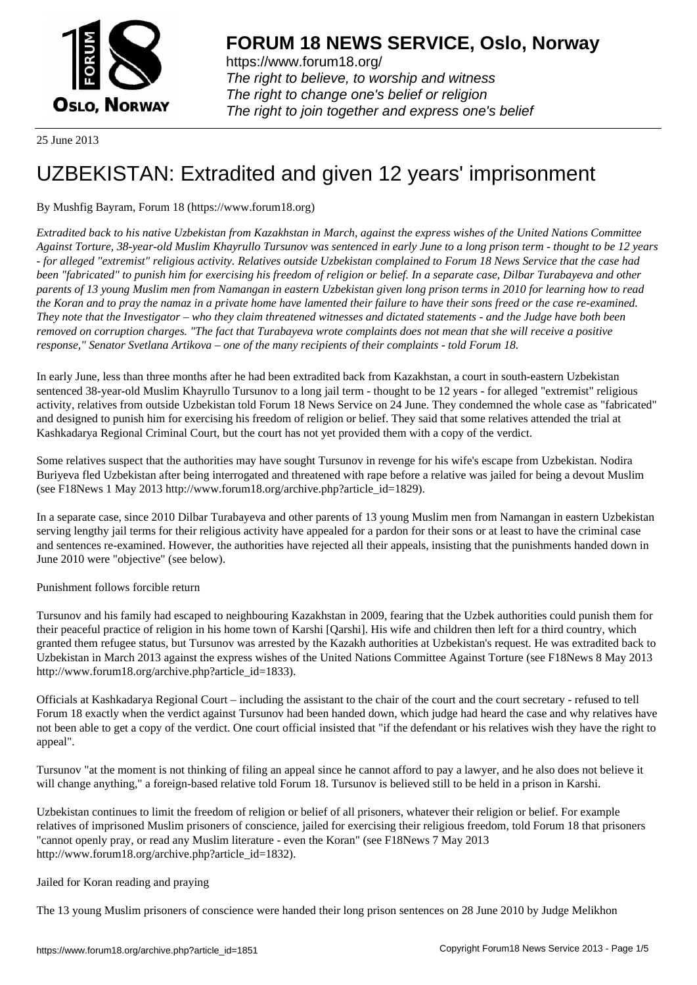

https://www.forum18.org/ The right to believe, to worship and witness The right to change one's belief or religion [The right to join together a](https://www.forum18.org/)nd express one's belief

25 June 2013

# [UZBEKISTAN:](https://www.forum18.org) Extradited and given 12 years' imprisonment

# By Mushfig Bayram, Forum 18 (https://www.forum18.org)

*Extradited back to his native Uzbekistan from Kazakhstan in March, against the express wishes of the United Nations Committee Against Torture, 38-year-old Muslim Khayrullo Tursunov was sentenced in early June to a long prison term - thought to be 12 years - for alleged "extremist" religious activity. Relatives outside Uzbekistan complained to Forum 18 News Service that the case had been "fabricated" to punish him for exercising his freedom of religion or belief. In a separate case, Dilbar Turabayeva and other parents of 13 young Muslim men from Namangan in eastern Uzbekistan given long prison terms in 2010 for learning how to read the Koran and to pray the namaz in a private home have lamented their failure to have their sons freed or the case re-examined. They note that the Investigator – who they claim threatened witnesses and dictated statements - and the Judge have both been removed on corruption charges. "The fact that Turabayeva wrote complaints does not mean that she will receive a positive response," Senator Svetlana Artikova – one of the many recipients of their complaints - told Forum 18.*

In early June, less than three months after he had been extradited back from Kazakhstan, a court in south-eastern Uzbekistan sentenced 38-year-old Muslim Khayrullo Tursunov to a long jail term - thought to be 12 years - for alleged "extremist" religious activity, relatives from outside Uzbekistan told Forum 18 News Service on 24 June. They condemned the whole case as "fabricated" and designed to punish him for exercising his freedom of religion or belief. They said that some relatives attended the trial at Kashkadarya Regional Criminal Court, but the court has not yet provided them with a copy of the verdict.

Some relatives suspect that the authorities may have sought Tursunov in revenge for his wife's escape from Uzbekistan. Nodira Buriyeva fled Uzbekistan after being interrogated and threatened with rape before a relative was jailed for being a devout Muslim (see F18News 1 May 2013 http://www.forum18.org/archive.php?article\_id=1829).

In a separate case, since 2010 Dilbar Turabayeva and other parents of 13 young Muslim men from Namangan in eastern Uzbekistan serving lengthy jail terms for their religious activity have appealed for a pardon for their sons or at least to have the criminal case and sentences re-examined. However, the authorities have rejected all their appeals, insisting that the punishments handed down in June 2010 were "objective" (see below).

# Punishment follows forcible return

Tursunov and his family had escaped to neighbouring Kazakhstan in 2009, fearing that the Uzbek authorities could punish them for their peaceful practice of religion in his home town of Karshi [Qarshi]. His wife and children then left for a third country, which granted them refugee status, but Tursunov was arrested by the Kazakh authorities at Uzbekistan's request. He was extradited back to Uzbekistan in March 2013 against the express wishes of the United Nations Committee Against Torture (see F18News 8 May 2013 http://www.forum18.org/archive.php?article\_id=1833).

Officials at Kashkadarya Regional Court – including the assistant to the chair of the court and the court secretary - refused to tell Forum 18 exactly when the verdict against Tursunov had been handed down, which judge had heard the case and why relatives have not been able to get a copy of the verdict. One court official insisted that "if the defendant or his relatives wish they have the right to appeal".

Tursunov "at the moment is not thinking of filing an appeal since he cannot afford to pay a lawyer, and he also does not believe it will change anything," a foreign-based relative told Forum 18. Tursunov is believed still to be held in a prison in Karshi.

Uzbekistan continues to limit the freedom of religion or belief of all prisoners, whatever their religion or belief. For example relatives of imprisoned Muslim prisoners of conscience, jailed for exercising their religious freedom, told Forum 18 that prisoners "cannot openly pray, or read any Muslim literature - even the Koran" (see F18News 7 May 2013 http://www.forum18.org/archive.php?article\_id=1832).

# Jailed for Koran reading and praying

The 13 young Muslim prisoners of conscience were handed their long prison sentences on 28 June 2010 by Judge Melikhon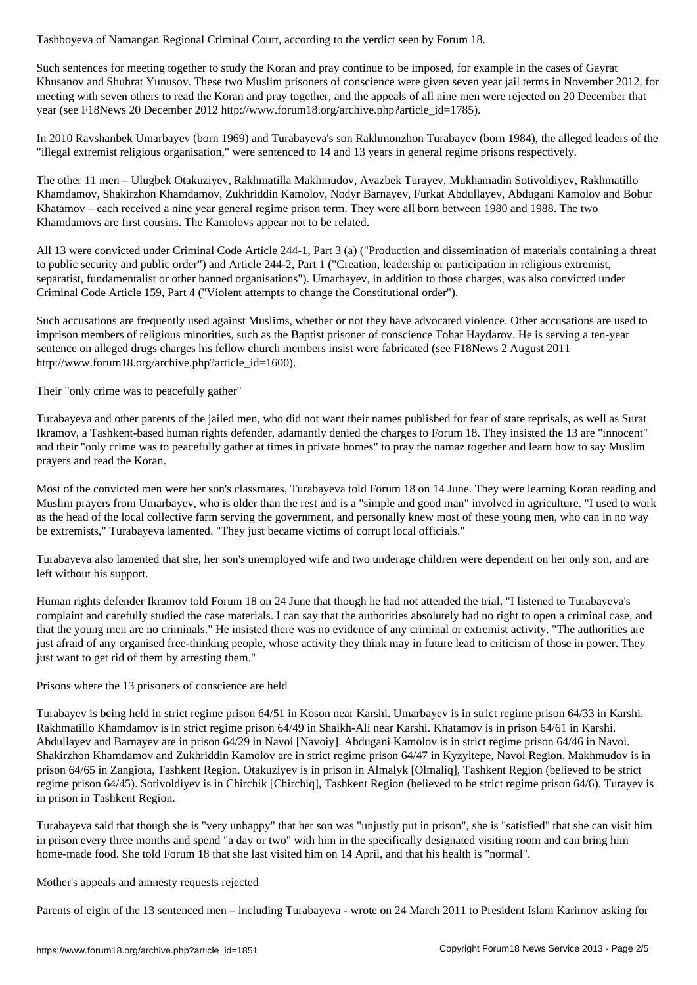Such sentences for meeting together to study the Koran and pray continue to be imposed, for example in the cases of Gayrat Khusanov and Shuhrat Yunusov. These two Muslim prisoners of conscience were given seven year jail terms in November 2012, for meeting with seven others to read the Koran and pray together, and the appeals of all nine men were rejected on 20 December that year (see F18News 20 December 2012 http://www.forum18.org/archive.php?article\_id=1785).

In 2010 Ravshanbek Umarbayev (born 1969) and Turabayeva's son Rakhmonzhon Turabayev (born 1984), the alleged leaders of the "illegal extremist religious organisation," were sentenced to 14 and 13 years in general regime prisons respectively.

The other 11 men – Ulugbek Otakuziyev, Rakhmatilla Makhmudov, Avazbek Turayev, Mukhamadin Sotivoldiyev, Rakhmatillo Khamdamov, Shakirzhon Khamdamov, Zukhriddin Kamolov, Nodyr Barnayev, Furkat Abdullayev, Abdugani Kamolov and Bobur Khatamov – each received a nine year general regime prison term. They were all born between 1980 and 1988. The two Khamdamovs are first cousins. The Kamolovs appear not to be related.

All 13 were convicted under Criminal Code Article 244-1, Part 3 (a) ("Production and dissemination of materials containing a threat to public security and public order") and Article 244-2, Part 1 ("Creation, leadership or participation in religious extremist, separatist, fundamentalist or other banned organisations"). Umarbayev, in addition to those charges, was also convicted under Criminal Code Article 159, Part 4 ("Violent attempts to change the Constitutional order").

Such accusations are frequently used against Muslims, whether or not they have advocated violence. Other accusations are used to imprison members of religious minorities, such as the Baptist prisoner of conscience Tohar Haydarov. He is serving a ten-year sentence on alleged drugs charges his fellow church members insist were fabricated (see F18News 2 August 2011 http://www.forum18.org/archive.php?article\_id=1600).

Their "only crime was to peacefully gather"

Turabayeva and other parents of the jailed men, who did not want their names published for fear of state reprisals, as well as Surat Ikramov, a Tashkent-based human rights defender, adamantly denied the charges to Forum 18. They insisted the 13 are "innocent" and their "only crime was to peacefully gather at times in private homes" to pray the namaz together and learn how to say Muslim prayers and read the Koran.

Most of the convicted men were her son's classmates, Turabayeva told Forum 18 on 14 June. They were learning Koran reading and Muslim prayers from Umarbayev, who is older than the rest and is a "simple and good man" involved in agriculture. "I used to work as the head of the local collective farm serving the government, and personally knew most of these young men, who can in no way be extremists," Turabayeva lamented. "They just became victims of corrupt local officials."

Turabayeva also lamented that she, her son's unemployed wife and two underage children were dependent on her only son, and are left without his support.

Human rights defender Ikramov told Forum 18 on 24 June that though he had not attended the trial, "I listened to Turabayeva's complaint and carefully studied the case materials. I can say that the authorities absolutely had no right to open a criminal case, and that the young men are no criminals." He insisted there was no evidence of any criminal or extremist activity. "The authorities are just afraid of any organised free-thinking people, whose activity they think may in future lead to criticism of those in power. They just want to get rid of them by arresting them."

Prisons where the 13 prisoners of conscience are held

Turabayev is being held in strict regime prison 64/51 in Koson near Karshi. Umarbayev is in strict regime prison 64/33 in Karshi. Rakhmatillo Khamdamov is in strict regime prison 64/49 in Shaikh-Ali near Karshi. Khatamov is in prison 64/61 in Karshi. Abdullayev and Barnayev are in prison 64/29 in Navoi [Navoiy]. Abdugani Kamolov is in strict regime prison 64/46 in Navoi. Shakirzhon Khamdamov and Zukhriddin Kamolov are in strict regime prison 64/47 in Kyzyltepe, Navoi Region. Makhmudov is in prison 64/65 in Zangiota, Tashkent Region. Otakuziyev is in prison in Almalyk [Olmaliq], Tashkent Region (believed to be strict regime prison 64/45). Sotivoldiyev is in Chirchik [Chirchiq], Tashkent Region (believed to be strict regime prison 64/6). Turayev is in prison in Tashkent Region.

Turabayeva said that though she is "very unhappy" that her son was "unjustly put in prison", she is "satisfied" that she can visit him in prison every three months and spend "a day or two" with him in the specifically designated visiting room and can bring him home-made food. She told Forum 18 that she last visited him on 14 April, and that his health is "normal".

# Mother's appeals and amnesty requests rejected

Parents of eight of the 13 sentenced men – including Turabayeva - wrote on 24 March 2011 to President Islam Karimov asking for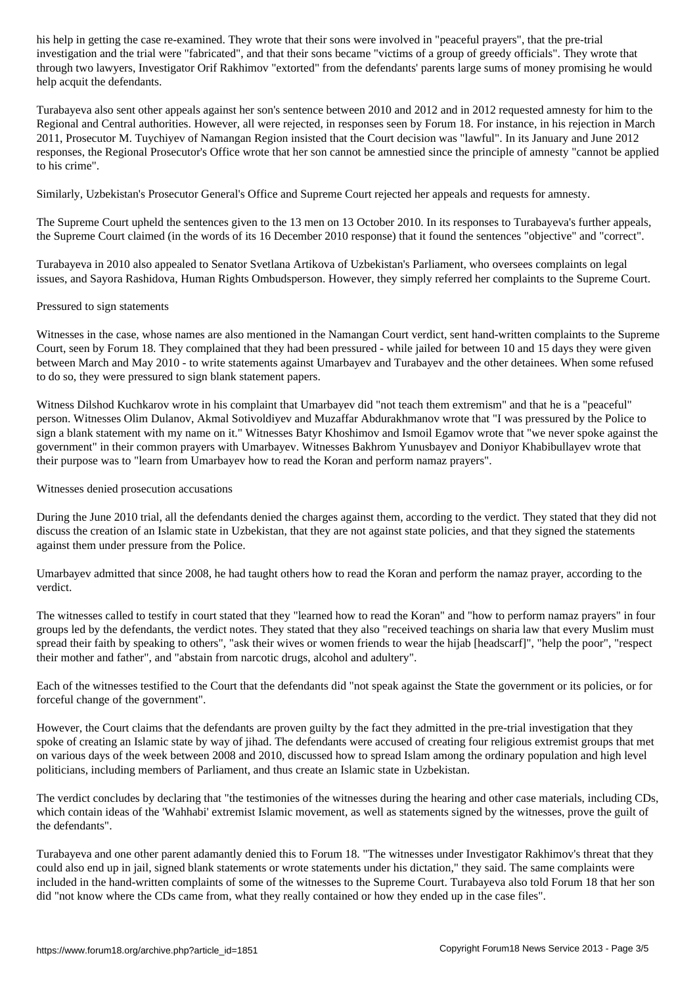investigation and the trial were "fabricated", and that their sons became "victims of a group of greedy officials". They wrote that through two lawyers, Investigator Orif Rakhimov "extorted" from the defendants' parents large sums of money promising he would help acquit the defendants.

Turabayeva also sent other appeals against her son's sentence between 2010 and 2012 and in 2012 requested amnesty for him to the Regional and Central authorities. However, all were rejected, in responses seen by Forum 18. For instance, in his rejection in March 2011, Prosecutor M. Tuychiyev of Namangan Region insisted that the Court decision was "lawful". In its January and June 2012 responses, the Regional Prosecutor's Office wrote that her son cannot be amnestied since the principle of amnesty "cannot be applied to his crime".

Similarly, Uzbekistan's Prosecutor General's Office and Supreme Court rejected her appeals and requests for amnesty.

The Supreme Court upheld the sentences given to the 13 men on 13 October 2010. In its responses to Turabayeva's further appeals, the Supreme Court claimed (in the words of its 16 December 2010 response) that it found the sentences "objective" and "correct".

Turabayeva in 2010 also appealed to Senator Svetlana Artikova of Uzbekistan's Parliament, who oversees complaints on legal issues, and Sayora Rashidova, Human Rights Ombudsperson. However, they simply referred her complaints to the Supreme Court.

#### Pressured to sign statements

Witnesses in the case, whose names are also mentioned in the Namangan Court verdict, sent hand-written complaints to the Supreme Court, seen by Forum 18. They complained that they had been pressured - while jailed for between 10 and 15 days they were given between March and May 2010 - to write statements against Umarbayev and Turabayev and the other detainees. When some refused to do so, they were pressured to sign blank statement papers.

Witness Dilshod Kuchkarov wrote in his complaint that Umarbayev did "not teach them extremism" and that he is a "peaceful" person. Witnesses Olim Dulanov, Akmal Sotivoldiyev and Muzaffar Abdurakhmanov wrote that "I was pressured by the Police to sign a blank statement with my name on it." Witnesses Batyr Khoshimov and Ismoil Egamov wrote that "we never spoke against the government" in their common prayers with Umarbayev. Witnesses Bakhrom Yunusbayev and Doniyor Khabibullayev wrote that their purpose was to "learn from Umarbayev how to read the Koran and perform namaz prayers".

### Witnesses denied prosecution accusations

During the June 2010 trial, all the defendants denied the charges against them, according to the verdict. They stated that they did not discuss the creation of an Islamic state in Uzbekistan, that they are not against state policies, and that they signed the statements against them under pressure from the Police.

Umarbayev admitted that since 2008, he had taught others how to read the Koran and perform the namaz prayer, according to the verdict.

The witnesses called to testify in court stated that they "learned how to read the Koran" and "how to perform namaz prayers" in four groups led by the defendants, the verdict notes. They stated that they also "received teachings on sharia law that every Muslim must spread their faith by speaking to others", "ask their wives or women friends to wear the hijab [headscarf]", "help the poor", "respect their mother and father", and "abstain from narcotic drugs, alcohol and adultery".

Each of the witnesses testified to the Court that the defendants did "not speak against the State the government or its policies, or for forceful change of the government".

However, the Court claims that the defendants are proven guilty by the fact they admitted in the pre-trial investigation that they spoke of creating an Islamic state by way of jihad. The defendants were accused of creating four religious extremist groups that met on various days of the week between 2008 and 2010, discussed how to spread Islam among the ordinary population and high level politicians, including members of Parliament, and thus create an Islamic state in Uzbekistan.

The verdict concludes by declaring that "the testimonies of the witnesses during the hearing and other case materials, including CDs, which contain ideas of the 'Wahhabi' extremist Islamic movement, as well as statements signed by the witnesses, prove the guilt of the defendants".

Turabayeva and one other parent adamantly denied this to Forum 18. "The witnesses under Investigator Rakhimov's threat that they could also end up in jail, signed blank statements or wrote statements under his dictation," they said. The same complaints were included in the hand-written complaints of some of the witnesses to the Supreme Court. Turabayeva also told Forum 18 that her son did "not know where the CDs came from, what they really contained or how they ended up in the case files".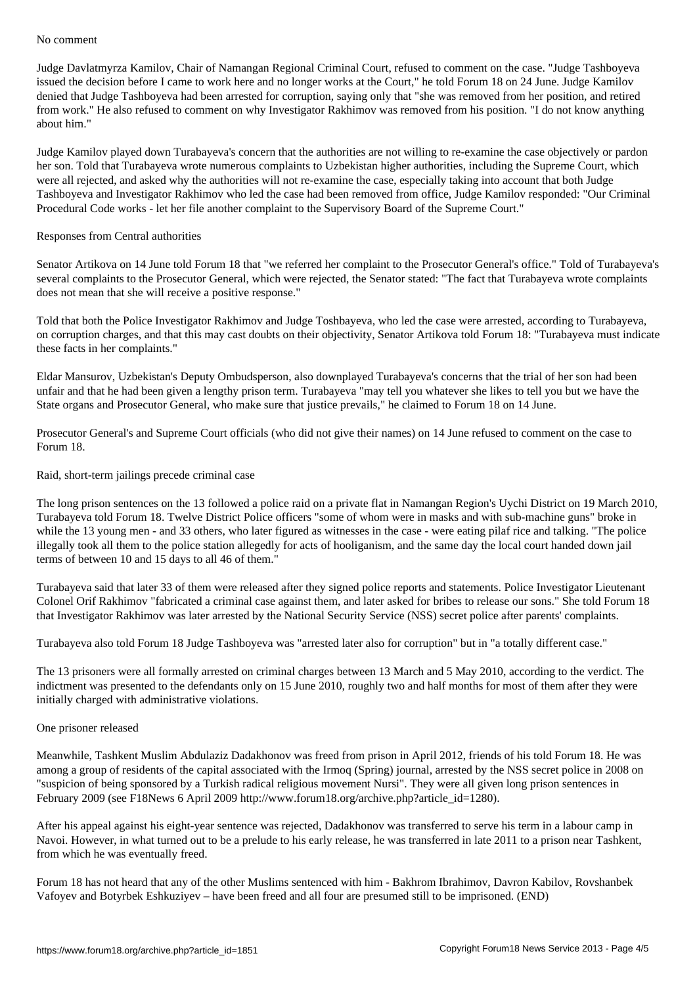Judge Davlatmyrza Kamilov, Chair of Namangan Regional Criminal Court, refused to comment on the case. "Judge Tashboyeva issued the decision before I came to work here and no longer works at the Court," he told Forum 18 on 24 June. Judge Kamilov denied that Judge Tashboyeva had been arrested for corruption, saying only that "she was removed from her position, and retired from work." He also refused to comment on why Investigator Rakhimov was removed from his position. "I do not know anything about him."

Judge Kamilov played down Turabayeva's concern that the authorities are not willing to re-examine the case objectively or pardon her son. Told that Turabayeva wrote numerous complaints to Uzbekistan higher authorities, including the Supreme Court, which were all rejected, and asked why the authorities will not re-examine the case, especially taking into account that both Judge Tashboyeva and Investigator Rakhimov who led the case had been removed from office, Judge Kamilov responded: "Our Criminal Procedural Code works - let her file another complaint to the Supervisory Board of the Supreme Court."

### Responses from Central authorities

Senator Artikova on 14 June told Forum 18 that "we referred her complaint to the Prosecutor General's office." Told of Turabayeva's several complaints to the Prosecutor General, which were rejected, the Senator stated: "The fact that Turabayeva wrote complaints does not mean that she will receive a positive response."

Told that both the Police Investigator Rakhimov and Judge Toshbayeva, who led the case were arrested, according to Turabayeva, on corruption charges, and that this may cast doubts on their objectivity, Senator Artikova told Forum 18: "Turabayeva must indicate these facts in her complaints."

Eldar Mansurov, Uzbekistan's Deputy Ombudsperson, also downplayed Turabayeva's concerns that the trial of her son had been unfair and that he had been given a lengthy prison term. Turabayeva "may tell you whatever she likes to tell you but we have the State organs and Prosecutor General, who make sure that justice prevails," he claimed to Forum 18 on 14 June.

Prosecutor General's and Supreme Court officials (who did not give their names) on 14 June refused to comment on the case to Forum 18.

#### Raid, short-term jailings precede criminal case

The long prison sentences on the 13 followed a police raid on a private flat in Namangan Region's Uychi District on 19 March 2010, Turabayeva told Forum 18. Twelve District Police officers "some of whom were in masks and with sub-machine guns" broke in while the 13 young men - and 33 others, who later figured as witnesses in the case - were eating pilaf rice and talking. "The police illegally took all them to the police station allegedly for acts of hooliganism, and the same day the local court handed down jail terms of between 10 and 15 days to all 46 of them."

Turabayeva said that later 33 of them were released after they signed police reports and statements. Police Investigator Lieutenant Colonel Orif Rakhimov "fabricated a criminal case against them, and later asked for bribes to release our sons." She told Forum 18 that Investigator Rakhimov was later arrested by the National Security Service (NSS) secret police after parents' complaints.

Turabayeva also told Forum 18 Judge Tashboyeva was "arrested later also for corruption" but in "a totally different case."

The 13 prisoners were all formally arrested on criminal charges between 13 March and 5 May 2010, according to the verdict. The indictment was presented to the defendants only on 15 June 2010, roughly two and half months for most of them after they were initially charged with administrative violations.

#### One prisoner released

Meanwhile, Tashkent Muslim Abdulaziz Dadakhonov was freed from prison in April 2012, friends of his told Forum 18. He was among a group of residents of the capital associated with the Irmoq (Spring) journal, arrested by the NSS secret police in 2008 on "suspicion of being sponsored by a Turkish radical religious movement Nursi". They were all given long prison sentences in February 2009 (see F18News 6 April 2009 http://www.forum18.org/archive.php?article\_id=1280).

After his appeal against his eight-year sentence was rejected, Dadakhonov was transferred to serve his term in a labour camp in Navoi. However, in what turned out to be a prelude to his early release, he was transferred in late 2011 to a prison near Tashkent, from which he was eventually freed.

Forum 18 has not heard that any of the other Muslims sentenced with him - Bakhrom Ibrahimov, Davron Kabilov, Rovshanbek Vafoyev and Botyrbek Eshkuziyev – have been freed and all four are presumed still to be imprisoned. (END)